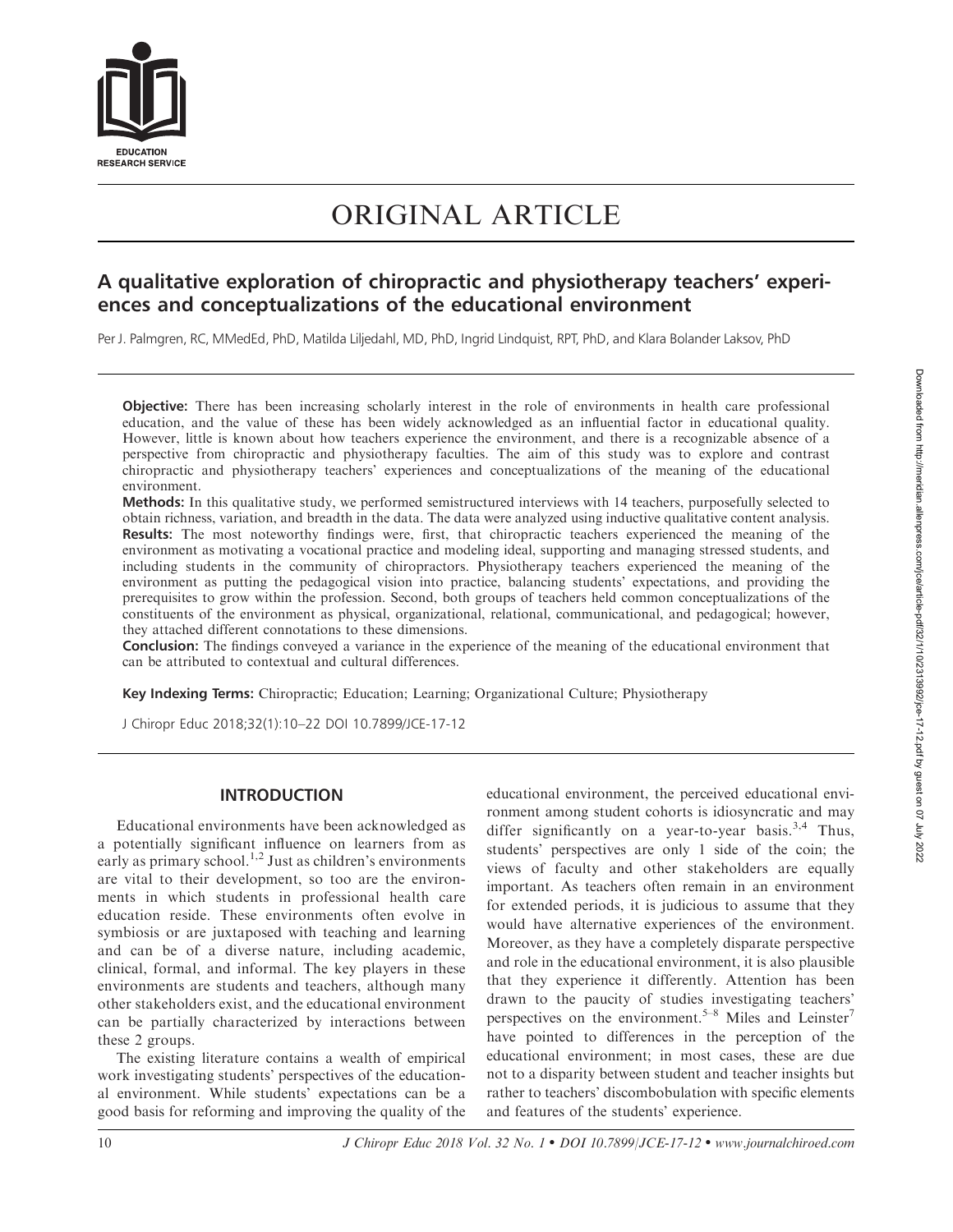

# ORIGINAL ARTICLE

## A qualitative exploration of chiropractic and physiotherapy teachers' experiences and conceptualizations of the educational environment

Per J. Palmgren, RC, MMedEd, PhD, Matilda Liljedahl, MD, PhD, Ingrid Lindquist, RPT, PhD, and Klara Bolander Laksov, PhD

Objective: There has been increasing scholarly interest in the role of environments in health care professional education, and the value of these has been widely acknowledged as an influential factor in educational quality. However, little is known about how teachers experience the environment, and there is a recognizable absence of a perspective from chiropractic and physiotherapy faculties. The aim of this study was to explore and contrast chiropractic and physiotherapy teachers' experiences and conceptualizations of the meaning of the educational environment.

Methods: In this qualitative study, we performed semistructured interviews with 14 teachers, purposefully selected to obtain richness, variation, and breadth in the data. The data were analyzed using inductive qualitative content analysis. Results: The most noteworthy findings were, first, that chiropractic teachers experienced the meaning of the environment as motivating a vocational practice and modeling ideal, supporting and managing stressed students, and including students in the community of chiropractors. Physiotherapy teachers experienced the meaning of the environment as putting the pedagogical vision into practice, balancing students' expectations, and providing the prerequisites to grow within the profession. Second, both groups of teachers held common conceptualizations of the constituents of the environment as physical, organizational, relational, communicational, and pedagogical; however, they attached different connotations to these dimensions.

Conclusion: The findings conveyed a variance in the experience of the meaning of the educational environment that can be attributed to contextual and cultural differences.

Key Indexing Terms: Chiropractic; Education; Learning; Organizational Culture; Physiotherapy

J Chiropr Educ 2018;32(1):10–22 DOI 10.7899/JCE-17-12

## INTRODUCTION

Educational environments have been acknowledged as a potentially significant influence on learners from as early as primary school.<sup>1,2</sup> Just as children's environments are vital to their development, so too are the environments in which students in professional health care education reside. These environments often evolve in symbiosis or are juxtaposed with teaching and learning and can be of a diverse nature, including academic, clinical, formal, and informal. The key players in these environments are students and teachers, although many other stakeholders exist, and the educational environment can be partially characterized by interactions between these 2 groups.

The existing literature contains a wealth of empirical work investigating students' perspectives of the educational environment. While students' expectations can be a good basis for reforming and improving the quality of the educational environment, the perceived educational environment among student cohorts is idiosyncratic and may differ significantly on a year-to-year basis.<sup>3,4</sup> Thus, students' perspectives are only 1 side of the coin; the views of faculty and other stakeholders are equally important. As teachers often remain in an environment for extended periods, it is judicious to assume that they would have alternative experiences of the environment. Moreover, as they have a completely disparate perspective and role in the educational environment, it is also plausible that they experience it differently. Attention has been drawn to the paucity of studies investigating teachers' perspectives on the environment.<sup>5–8</sup> Miles and Leinster<sup>7</sup> have pointed to differences in the perception of the educational environment; in most cases, these are due not to a disparity between student and teacher insights but rather to teachers' discombobulation with specific elements and features of the students' experience.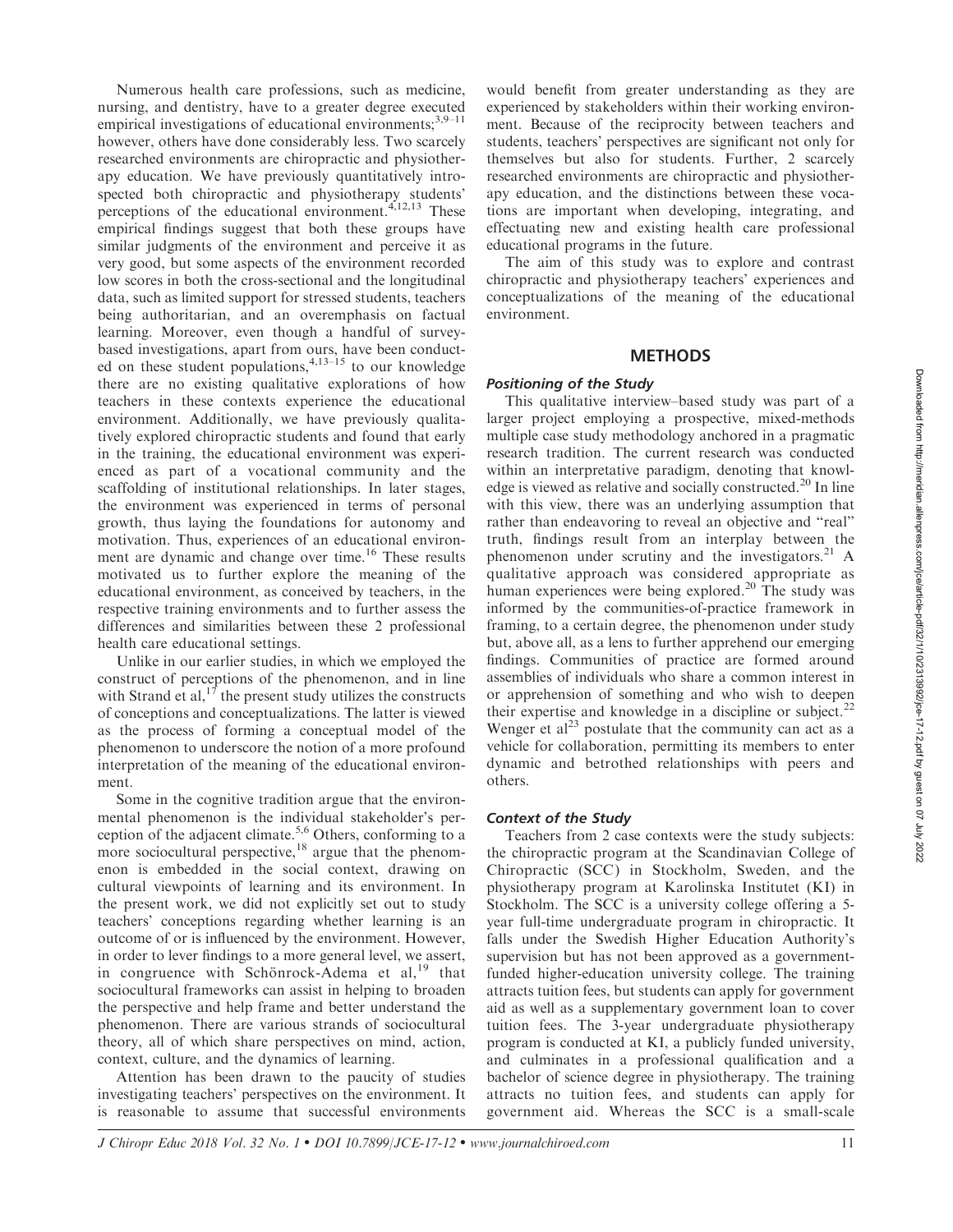Numerous health care professions, such as medicine, nursing, and dentistry, have to a greater degree executed empirical investigations of educational environments;<sup>3,9–11</sup> however, others have done considerably less. Two scarcely researched environments are chiropractic and physiotherapy education. We have previously quantitatively introspected both chiropractic and physiotherapy students' perceptions of the educational environment. $4,12,13$  These empirical findings suggest that both these groups have similar judgments of the environment and perceive it as very good, but some aspects of the environment recorded low scores in both the cross-sectional and the longitudinal data, such as limited support for stressed students, teachers being authoritarian, and an overemphasis on factual learning. Moreover, even though a handful of surveybased investigations, apart from ours, have been conducted on these student populations,  $4,13-15$  to our knowledge there are no existing qualitative explorations of how teachers in these contexts experience the educational environment. Additionally, we have previously qualitatively explored chiropractic students and found that early in the training, the educational environment was experienced as part of a vocational community and the scaffolding of institutional relationships. In later stages, the environment was experienced in terms of personal growth, thus laying the foundations for autonomy and motivation. Thus, experiences of an educational environment are dynamic and change over time.<sup>16</sup> These results motivated us to further explore the meaning of the educational environment, as conceived by teachers, in the respective training environments and to further assess the differences and similarities between these 2 professional health care educational settings.

Unlike in our earlier studies, in which we employed the construct of perceptions of the phenomenon, and in line with Strand et al,  $17$  the present study utilizes the constructs of conceptions and conceptualizations. The latter is viewed as the process of forming a conceptual model of the phenomenon to underscore the notion of a more profound interpretation of the meaning of the educational environment.

Some in the cognitive tradition argue that the environmental phenomenon is the individual stakeholder's perception of the adjacent climate.<sup>5,6</sup> Others, conforming to a more sociocultural perspective, $18$  argue that the phenomenon is embedded in the social context, drawing on cultural viewpoints of learning and its environment. In the present work, we did not explicitly set out to study teachers' conceptions regarding whether learning is an outcome of or is influenced by the environment. However, in order to lever findings to a more general level, we assert, in congruence with Schönrock-Adema et al, $^{19}$  that sociocultural frameworks can assist in helping to broaden the perspective and help frame and better understand the phenomenon. There are various strands of sociocultural theory, all of which share perspectives on mind, action, context, culture, and the dynamics of learning.

Attention has been drawn to the paucity of studies investigating teachers' perspectives on the environment. It is reasonable to assume that successful environments

would benefit from greater understanding as they are experienced by stakeholders within their working environment. Because of the reciprocity between teachers and students, teachers' perspectives are significant not only for themselves but also for students. Further, 2 scarcely researched environments are chiropractic and physiotherapy education, and the distinctions between these vocations are important when developing, integrating, and effectuating new and existing health care professional educational programs in the future.

The aim of this study was to explore and contrast chiropractic and physiotherapy teachers' experiences and conceptualizations of the meaning of the educational environment.

#### **METHODS**

#### Positioning of the Study

This qualitative interview–based study was part of a larger project employing a prospective, mixed-methods multiple case study methodology anchored in a pragmatic research tradition. The current research was conducted within an interpretative paradigm, denoting that knowledge is viewed as relative and socially constructed.<sup>20</sup> In line with this view, there was an underlying assumption that rather than endeavoring to reveal an objective and "real" truth, findings result from an interplay between the phenomenon under scrutiny and the investigators. $2^1$  A qualitative approach was considered appropriate as human experiences were being explored.<sup>20</sup> The study was informed by the communities-of-practice framework in framing, to a certain degree, the phenomenon under study but, above all, as a lens to further apprehend our emerging findings. Communities of practice are formed around assemblies of individuals who share a common interest in or apprehension of something and who wish to deepen their expertise and knowledge in a discipline or subject.<sup>22</sup> Wenger et  $al^{23}$  postulate that the community can act as a vehicle for collaboration, permitting its members to enter dynamic and betrothed relationships with peers and others.

#### Context of the Study

Teachers from 2 case contexts were the study subjects: the chiropractic program at the Scandinavian College of Chiropractic (SCC) in Stockholm, Sweden, and the physiotherapy program at Karolinska Institutet (KI) in Stockholm. The SCC is a university college offering a 5 year full-time undergraduate program in chiropractic. It falls under the Swedish Higher Education Authority's supervision but has not been approved as a governmentfunded higher-education university college. The training attracts tuition fees, but students can apply for government aid as well as a supplementary government loan to cover tuition fees. The 3-year undergraduate physiotherapy program is conducted at KI, a publicly funded university, and culminates in a professional qualification and a bachelor of science degree in physiotherapy. The training attracts no tuition fees, and students can apply for government aid. Whereas the SCC is a small-scale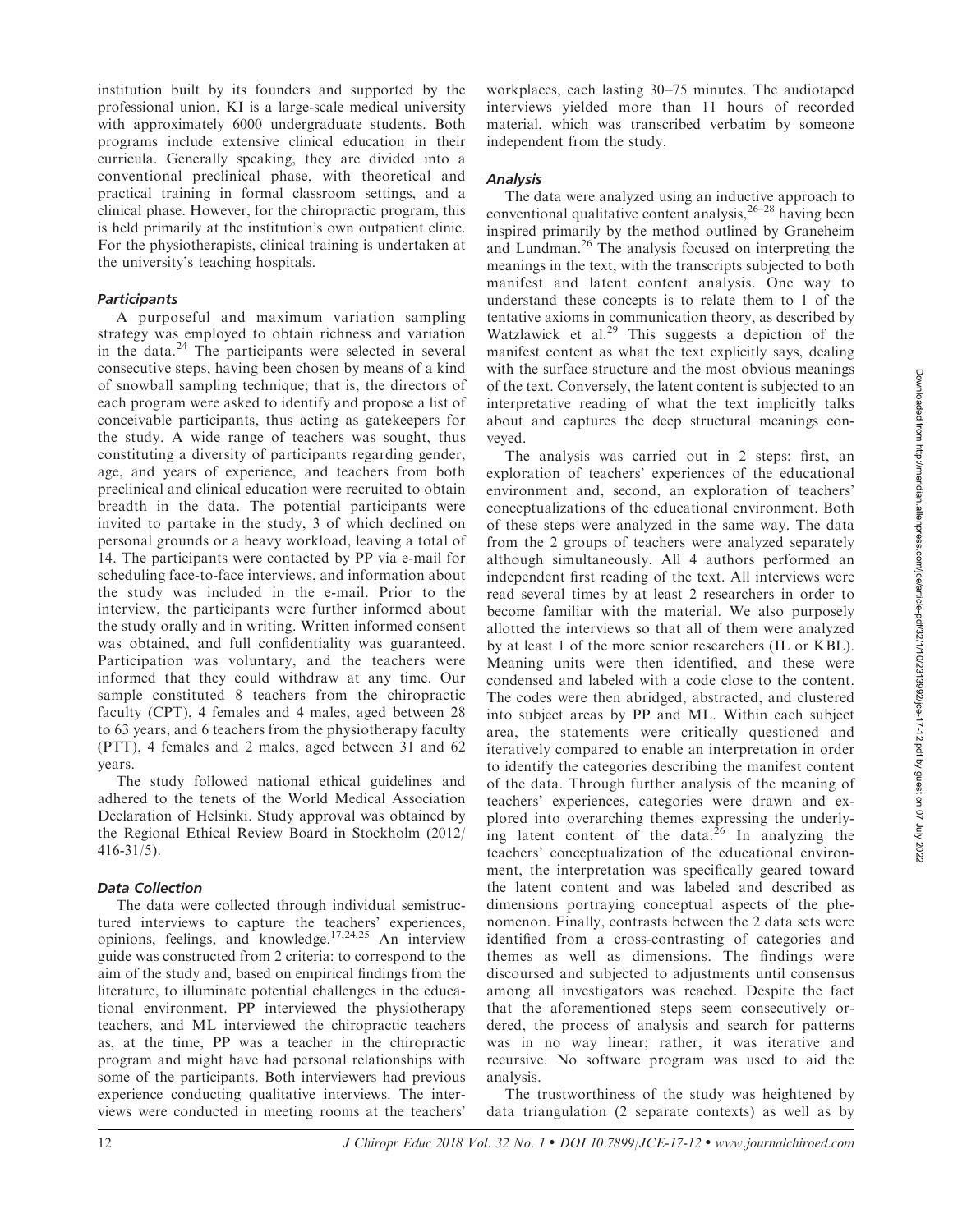institution built by its founders and supported by the professional union, KI is a large-scale medical university with approximately 6000 undergraduate students. Both programs include extensive clinical education in their curricula. Generally speaking, they are divided into a conventional preclinical phase, with theoretical and practical training in formal classroom settings, and a clinical phase. However, for the chiropractic program, this is held primarily at the institution's own outpatient clinic. For the physiotherapists, clinical training is undertaken at the university's teaching hospitals.

## **Participants**

A purposeful and maximum variation sampling strategy was employed to obtain richness and variation in the data.<sup>24</sup> The participants were selected in several consecutive steps, having been chosen by means of a kind of snowball sampling technique; that is, the directors of each program were asked to identify and propose a list of conceivable participants, thus acting as gatekeepers for the study. A wide range of teachers was sought, thus constituting a diversity of participants regarding gender, age, and years of experience, and teachers from both preclinical and clinical education were recruited to obtain breadth in the data. The potential participants were invited to partake in the study, 3 of which declined on personal grounds or a heavy workload, leaving a total of 14. The participants were contacted by PP via e-mail for scheduling face-to-face interviews, and information about the study was included in the e-mail. Prior to the interview, the participants were further informed about the study orally and in writing. Written informed consent was obtained, and full confidentiality was guaranteed. Participation was voluntary, and the teachers were informed that they could withdraw at any time. Our sample constituted 8 teachers from the chiropractic faculty (CPT), 4 females and 4 males, aged between 28 to 63 years, and 6 teachers from the physiotherapy faculty (PTT), 4 females and 2 males, aged between 31 and 62 years.

The study followed national ethical guidelines and adhered to the tenets of the World Medical Association Declaration of Helsinki. Study approval was obtained by the Regional Ethical Review Board in Stockholm (2012/ 416-31/5).

## Data Collection

The data were collected through individual semistructured interviews to capture the teachers' experiences, opinions, feelings, and knowledge.17,24,25 An interview guide was constructed from 2 criteria: to correspond to the aim of the study and, based on empirical findings from the literature, to illuminate potential challenges in the educational environment. PP interviewed the physiotherapy teachers, and ML interviewed the chiropractic teachers as, at the time, PP was a teacher in the chiropractic program and might have had personal relationships with some of the participants. Both interviewers had previous experience conducting qualitative interviews. The interviews were conducted in meeting rooms at the teachers'

workplaces, each lasting 30–75 minutes. The audiotaped interviews yielded more than 11 hours of recorded material, which was transcribed verbatim by someone independent from the study.

## **Analysis**

The data were analyzed using an inductive approach to conventional qualitative content analysis, $26-28$  having been inspired primarily by the method outlined by Graneheim and Lundman.26 The analysis focused on interpreting the meanings in the text, with the transcripts subjected to both manifest and latent content analysis. One way to understand these concepts is to relate them to 1 of the tentative axioms in communication theory, as described by Watzlawick et al. $29$  This suggests a depiction of the manifest content as what the text explicitly says, dealing with the surface structure and the most obvious meanings of the text. Conversely, the latent content is subjected to an interpretative reading of what the text implicitly talks about and captures the deep structural meanings conveyed.

The analysis was carried out in 2 steps: first, an exploration of teachers' experiences of the educational environment and, second, an exploration of teachers' conceptualizations of the educational environment. Both of these steps were analyzed in the same way. The data from the 2 groups of teachers were analyzed separately although simultaneously. All 4 authors performed an independent first reading of the text. All interviews were read several times by at least 2 researchers in order to become familiar with the material. We also purposely allotted the interviews so that all of them were analyzed by at least 1 of the more senior researchers (IL or KBL). Meaning units were then identified, and these were condensed and labeled with a code close to the content. The codes were then abridged, abstracted, and clustered into subject areas by PP and ML. Within each subject area, the statements were critically questioned and iteratively compared to enable an interpretation in order to identify the categories describing the manifest content of the data. Through further analysis of the meaning of teachers' experiences, categories were drawn and explored into overarching themes expressing the underlying latent content of the data. $^{26}$  In analyzing the teachers' conceptualization of the educational environment, the interpretation was specifically geared toward the latent content and was labeled and described as dimensions portraying conceptual aspects of the phenomenon. Finally, contrasts between the 2 data sets were identified from a cross-contrasting of categories and themes as well as dimensions. The findings were discoursed and subjected to adjustments until consensus among all investigators was reached. Despite the fact that the aforementioned steps seem consecutively ordered, the process of analysis and search for patterns was in no way linear; rather, it was iterative and recursive. No software program was used to aid the analysis.

The trustworthiness of the study was heightened by data triangulation (2 separate contexts) as well as by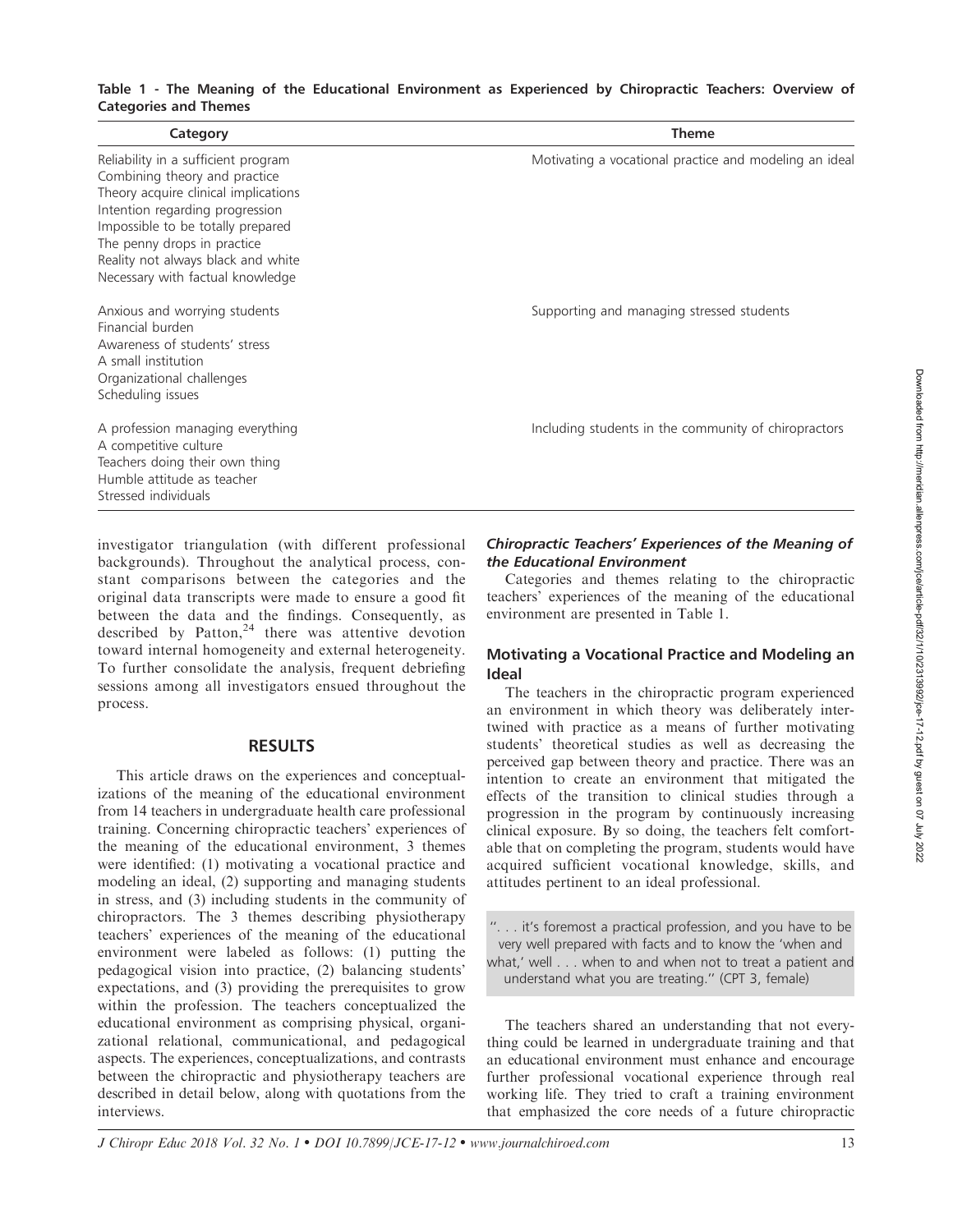## Table 1 - The Meaning of the Educational Environment as Experienced by Chiropractic Teachers: Overview of Categories and Themes

| Category                                                                                                                                                                                                                                                                                      | <b>Theme</b>                                           |
|-----------------------------------------------------------------------------------------------------------------------------------------------------------------------------------------------------------------------------------------------------------------------------------------------|--------------------------------------------------------|
| Reliability in a sufficient program<br>Combining theory and practice<br>Theory acquire clinical implications<br>Intention regarding progression<br>Impossible to be totally prepared<br>The penny drops in practice<br>Reality not always black and white<br>Necessary with factual knowledge | Motivating a vocational practice and modeling an ideal |
| Anxious and worrying students<br>Financial burden<br>Awareness of students' stress<br>A small institution<br>Organizational challenges<br>Scheduling issues                                                                                                                                   | Supporting and managing stressed students              |
| A profession managing everything<br>A competitive culture<br>Teachers doing their own thing<br>Humble attitude as teacher<br>Stressed individuals                                                                                                                                             | Including students in the community of chiropractors   |

investigator triangulation (with different professional backgrounds). Throughout the analytical process, constant comparisons between the categories and the original data transcripts were made to ensure a good fit between the data and the findings. Consequently, as described by Patton, $24$  there was attentive devotion toward internal homogeneity and external heterogeneity. To further consolidate the analysis, frequent debriefing sessions among all investigators ensued throughout the process.

## RESULTS

This article draws on the experiences and conceptualizations of the meaning of the educational environment from 14 teachers in undergraduate health care professional training. Concerning chiropractic teachers' experiences of the meaning of the educational environment, 3 themes were identified: (1) motivating a vocational practice and modeling an ideal, (2) supporting and managing students in stress, and (3) including students in the community of chiropractors. The 3 themes describing physiotherapy teachers' experiences of the meaning of the educational environment were labeled as follows: (1) putting the pedagogical vision into practice, (2) balancing students' expectations, and (3) providing the prerequisites to grow within the profession. The teachers conceptualized the educational environment as comprising physical, organizational relational, communicational, and pedagogical aspects. The experiences, conceptualizations, and contrasts between the chiropractic and physiotherapy teachers are described in detail below, along with quotations from the interviews.

## Chiropractic Teachers' Experiences of the Meaning of the Educational Environment

Categories and themes relating to the chiropractic teachers' experiences of the meaning of the educational environment are presented in Table 1.

## Motivating a Vocational Practice and Modeling an Ideal

The teachers in the chiropractic program experienced an environment in which theory was deliberately intertwined with practice as a means of further motivating students' theoretical studies as well as decreasing the perceived gap between theory and practice. There was an intention to create an environment that mitigated the effects of the transition to clinical studies through a progression in the program by continuously increasing clinical exposure. By so doing, the teachers felt comfortable that on completing the program, students would have acquired sufficient vocational knowledge, skills, and attitudes pertinent to an ideal professional.

''. . . it's foremost a practical profession, and you have to be very well prepared with facts and to know the 'when and what,' well . . . when to and when not to treat a patient and understand what you are treating.'' (CPT 3, female)

The teachers shared an understanding that not everything could be learned in undergraduate training and that an educational environment must enhance and encourage further professional vocational experience through real working life. They tried to craft a training environment that emphasized the core needs of a future chiropractic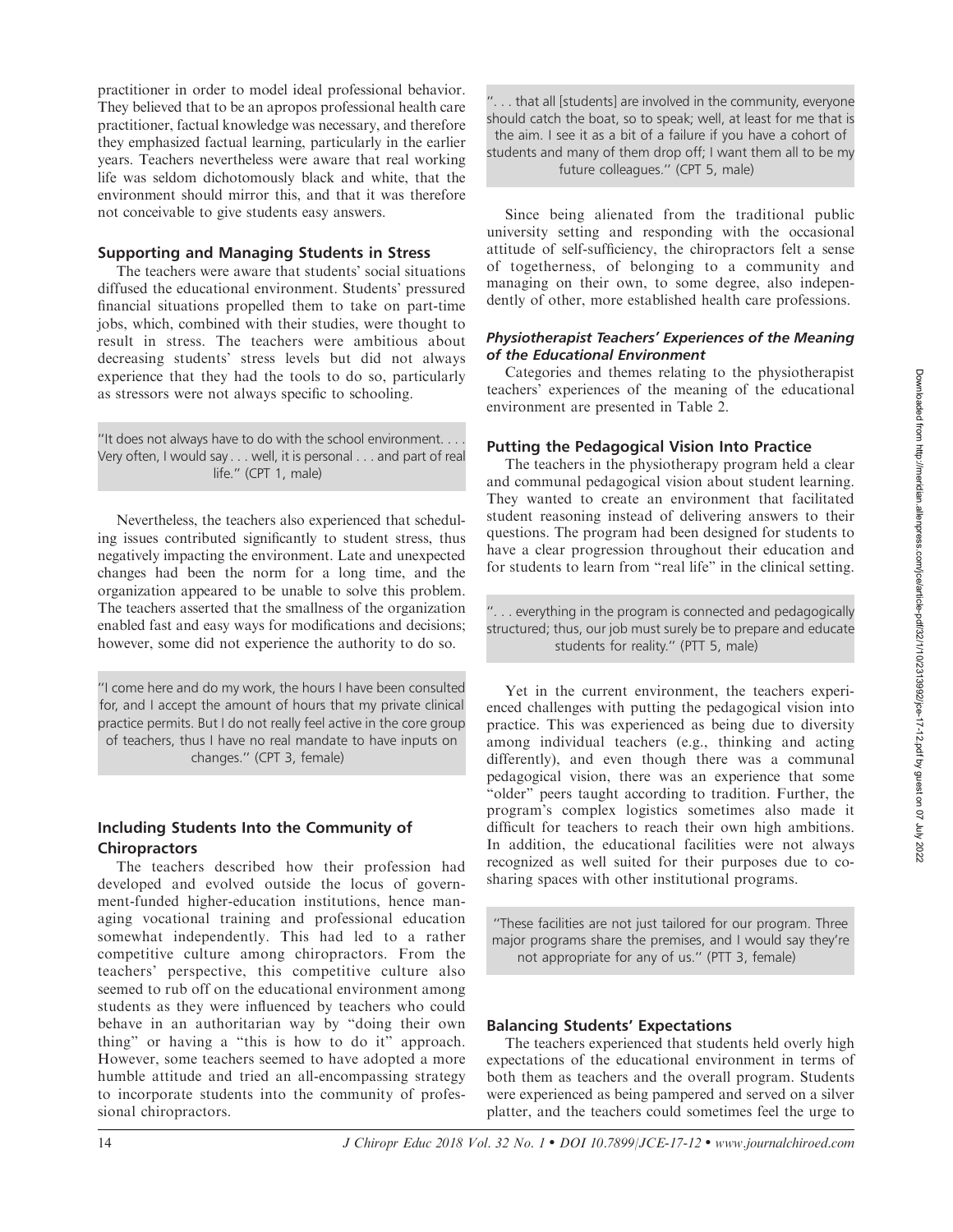practitioner in order to model ideal professional behavior. They believed that to be an apropos professional health care practitioner, factual knowledge was necessary, and therefore they emphasized factual learning, particularly in the earlier years. Teachers nevertheless were aware that real working life was seldom dichotomously black and white, that the environment should mirror this, and that it was therefore not conceivable to give students easy answers.

## Supporting and Managing Students in Stress

The teachers were aware that students' social situations diffused the educational environment. Students' pressured financial situations propelled them to take on part-time jobs, which, combined with their studies, were thought to result in stress. The teachers were ambitious about decreasing students' stress levels but did not always experience that they had the tools to do so, particularly as stressors were not always specific to schooling.

''It does not always have to do with the school environment. . . . Very often, I would say . . . well, it is personal . . . and part of real life.'' (CPT 1, male)

Nevertheless, the teachers also experienced that scheduling issues contributed significantly to student stress, thus negatively impacting the environment. Late and unexpected changes had been the norm for a long time, and the organization appeared to be unable to solve this problem. The teachers asserted that the smallness of the organization enabled fast and easy ways for modifications and decisions; however, some did not experience the authority to do so.

''I come here and do my work, the hours I have been consulted for, and I accept the amount of hours that my private clinical practice permits. But I do not really feel active in the core group of teachers, thus I have no real mandate to have inputs on changes.'' (CPT 3, female)

## Including Students Into the Community of **Chiropractors**

The teachers described how their profession had developed and evolved outside the locus of government-funded higher-education institutions, hence managing vocational training and professional education somewhat independently. This had led to a rather competitive culture among chiropractors. From the teachers' perspective, this competitive culture also seemed to rub off on the educational environment among students as they were influenced by teachers who could behave in an authoritarian way by ''doing their own thing'' or having a ''this is how to do it'' approach. However, some teachers seemed to have adopted a more humble attitude and tried an all-encompassing strategy to incorporate students into the community of professional chiropractors.

''. . . that all [students] are involved in the community, everyone should catch the boat, so to speak; well, at least for me that is the aim. I see it as a bit of a failure if you have a cohort of students and many of them drop off; I want them all to be my future colleagues.'' (CPT 5, male)

Since being alienated from the traditional public university setting and responding with the occasional attitude of self-sufficiency, the chiropractors felt a sense of togetherness, of belonging to a community and managing on their own, to some degree, also independently of other, more established health care professions.

## Physiotherapist Teachers' Experiences of the Meaning of the Educational Environment

Categories and themes relating to the physiotherapist teachers' experiences of the meaning of the educational environment are presented in Table 2.

## Putting the Pedagogical Vision Into Practice

The teachers in the physiotherapy program held a clear and communal pedagogical vision about student learning. They wanted to create an environment that facilitated student reasoning instead of delivering answers to their questions. The program had been designed for students to have a clear progression throughout their education and for students to learn from "real life" in the clinical setting.

''. . . everything in the program is connected and pedagogically structured; thus, our job must surely be to prepare and educate students for reality.'' (PTT 5, male)

Yet in the current environment, the teachers experienced challenges with putting the pedagogical vision into practice. This was experienced as being due to diversity among individual teachers (e.g., thinking and acting differently), and even though there was a communal pedagogical vision, there was an experience that some "older" peers taught according to tradition. Further, the program's complex logistics sometimes also made it difficult for teachers to reach their own high ambitions. In addition, the educational facilities were not always recognized as well suited for their purposes due to cosharing spaces with other institutional programs.

''These facilities are not just tailored for our program. Three major programs share the premises, and I would say they're not appropriate for any of us.'' (PTT 3, female)

## Balancing Students' Expectations

The teachers experienced that students held overly high expectations of the educational environment in terms of both them as teachers and the overall program. Students were experienced as being pampered and served on a silver platter, and the teachers could sometimes feel the urge to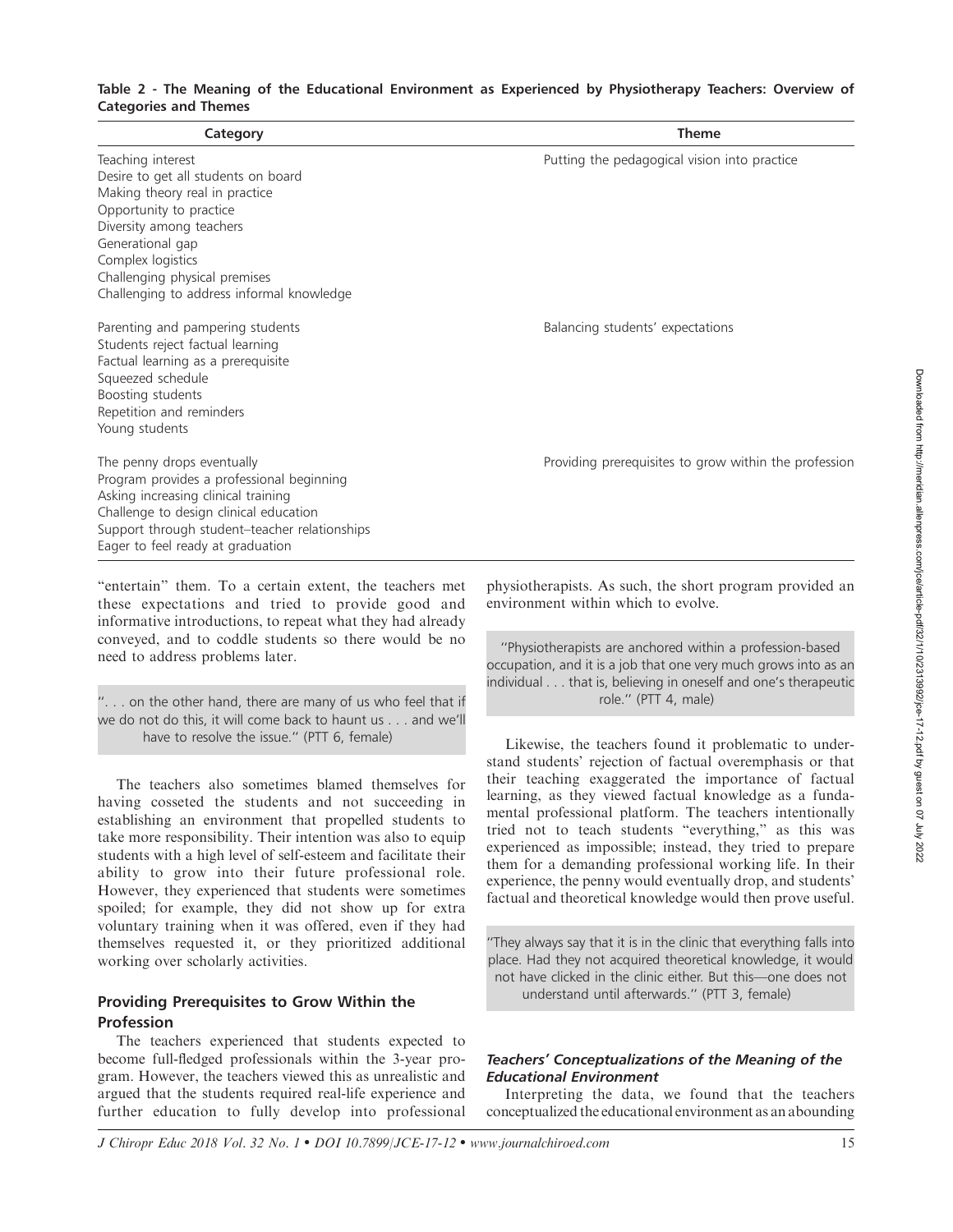## Table 2 - The Meaning of the Educational Environment as Experienced by Physiotherapy Teachers: Overview of Categories and Themes

| Category                                                                                                                                                                                                                                                                 | <b>Theme</b>                                          |
|--------------------------------------------------------------------------------------------------------------------------------------------------------------------------------------------------------------------------------------------------------------------------|-------------------------------------------------------|
| Teaching interest<br>Desire to get all students on board<br>Making theory real in practice<br>Opportunity to practice<br>Diversity among teachers<br>Generational gap<br>Complex logistics<br>Challenging physical premises<br>Challenging to address informal knowledge | Putting the pedagogical vision into practice          |
| Parenting and pampering students<br>Students reject factual learning<br>Factual learning as a prerequisite<br>Squeezed schedule<br>Boosting students<br>Repetition and reminders<br>Young students                                                                       | Balancing students' expectations                      |
| The penny drops eventually<br>Program provides a professional beginning<br>Asking increasing clinical training<br>Challenge to design clinical education<br>Support through student-teacher relationships<br>Eager to feel ready at graduation                           | Providing prerequisites to grow within the profession |

''entertain'' them. To a certain extent, the teachers met these expectations and tried to provide good and informative introductions, to repeat what they had already conveyed, and to coddle students so there would be no need to address problems later.

''. . . on the other hand, there are many of us who feel that if we do not do this, it will come back to haunt us . . . and we'll have to resolve the issue.'' (PTT 6, female)

The teachers also sometimes blamed themselves for having cosseted the students and not succeeding in establishing an environment that propelled students to take more responsibility. Their intention was also to equip students with a high level of self-esteem and facilitate their ability to grow into their future professional role. However, they experienced that students were sometimes spoiled; for example, they did not show up for extra voluntary training when it was offered, even if they had themselves requested it, or they prioritized additional working over scholarly activities.

## Providing Prerequisites to Grow Within the Profession

The teachers experienced that students expected to become full-fledged professionals within the 3-year program. However, the teachers viewed this as unrealistic and argued that the students required real-life experience and further education to fully develop into professional physiotherapists. As such, the short program provided an environment within which to evolve.

''Physiotherapists are anchored within a profession-based occupation, and it is a job that one very much grows into as an individual . . . that is, believing in oneself and one's therapeutic role.'' (PTT 4, male)

Likewise, the teachers found it problematic to understand students' rejection of factual overemphasis or that their teaching exaggerated the importance of factual learning, as they viewed factual knowledge as a fundamental professional platform. The teachers intentionally tried not to teach students ''everything,'' as this was experienced as impossible; instead, they tried to prepare them for a demanding professional working life. In their experience, the penny would eventually drop, and students' factual and theoretical knowledge would then prove useful.

''They always say that it is in the clinic that everything falls into place. Had they not acquired theoretical knowledge, it would not have clicked in the clinic either. But this—one does not understand until afterwards.'' (PTT 3, female)

## Teachers' Conceptualizations of the Meaning of the Educational Environment

Interpreting the data, we found that the teachers conceptualized the educational environment as an abounding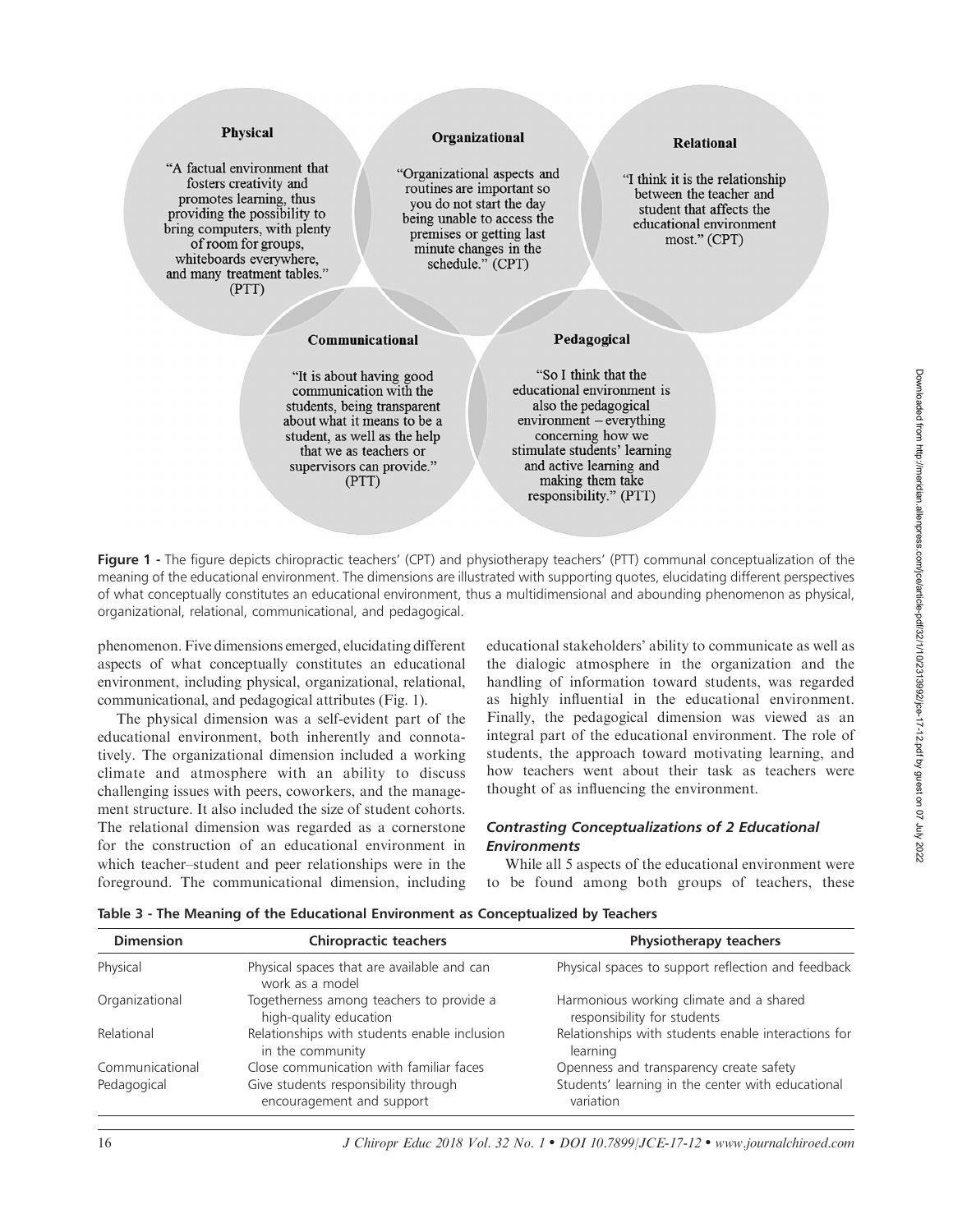## **Physical**

"A factual environment that fosters creativity and promotes learning, thus providing the possibility to bring computers, with plenty of room for groups, whiteboards everywhere, and many treatment tables." (PTT)

### Organizational

"Organizational aspects and routines are important so you do not start the day being unable to access the premises or getting last minute changes in the schedule." (CPT)

### **Relational**

"I think it is the relationship between the teacher and student that affects the educational environment most." (CPT)

#### Communicational

"It is about having good communication with the students, being transparent about what it means to be a student, as well as the help that we as teachers or supervisors can provide." (PTT)

"So I think that the educational environment is also the pedagogical  $environment - everything$ concerning how we stimulate students' learning and active learning and making them take responsibility." (PTT)

Pedagogical

Figure 1 - The figure depicts chiropractic teachers' (CPT) and physiotherapy teachers' (PTT) communal conceptualization of the meaning of the educational environment. The dimensions are illustrated with supporting quotes, elucidating different perspectives of what conceptually constitutes an educational environment, thus a multidimensional and abounding phenomenon as physical, organizational, relational, communicational, and pedagogical.

phenomenon. Five dimensions emerged, elucidating different aspects of what conceptually constitutes an educational environment, including physical, organizational, relational, communicational, and pedagogical attributes (Fig. 1).

The physical dimension was a self-evident part of the educational environment, both inherently and connotatively. The organizational dimension included a working climate and atmosphere with an ability to discuss challenging issues with peers, coworkers, and the management structure. It also included the size of student cohorts. The relational dimension was regarded as a cornerstone for the construction of an educational environment in which teacher–student and peer relationships were in the foreground. The communicational dimension, including educational stakeholders' ability to communicate as well as the dialogic atmosphere in the organization and the handling of information toward students, was regarded as highly influential in the educational environment. Finally, the pedagogical dimension was viewed as an integral part of the educational environment. The role of students, the approach toward motivating learning, and how teachers went about their task as teachers were thought of as influencing the environment.

## Contrasting Conceptualizations of 2 Educational **Environments**

While all 5 aspects of the educational environment were to be found among both groups of teachers, these

| <b>Dimension</b> | <b>Chiropractic teachers</b>                                       | <b>Physiotherapy teachers</b>                                          |
|------------------|--------------------------------------------------------------------|------------------------------------------------------------------------|
| Physical         | Physical spaces that are available and can<br>work as a model      | Physical spaces to support reflection and feedback                     |
| Organizational   | Togetherness among teachers to provide a<br>high-quality education | Harmonious working climate and a shared<br>responsibility for students |
| Relational       | Relationships with students enable inclusion<br>in the community   | Relationships with students enable interactions for<br>learning        |
| Communicational  | Close communication with familiar faces                            | Openness and transparency create safety                                |
| Pedagogical      | Give students responsibility through<br>encouragement and support  | Students' learning in the center with educational<br>variation         |

Table 3 - The Meaning of the Educational Environment as Conceptualized by Teachers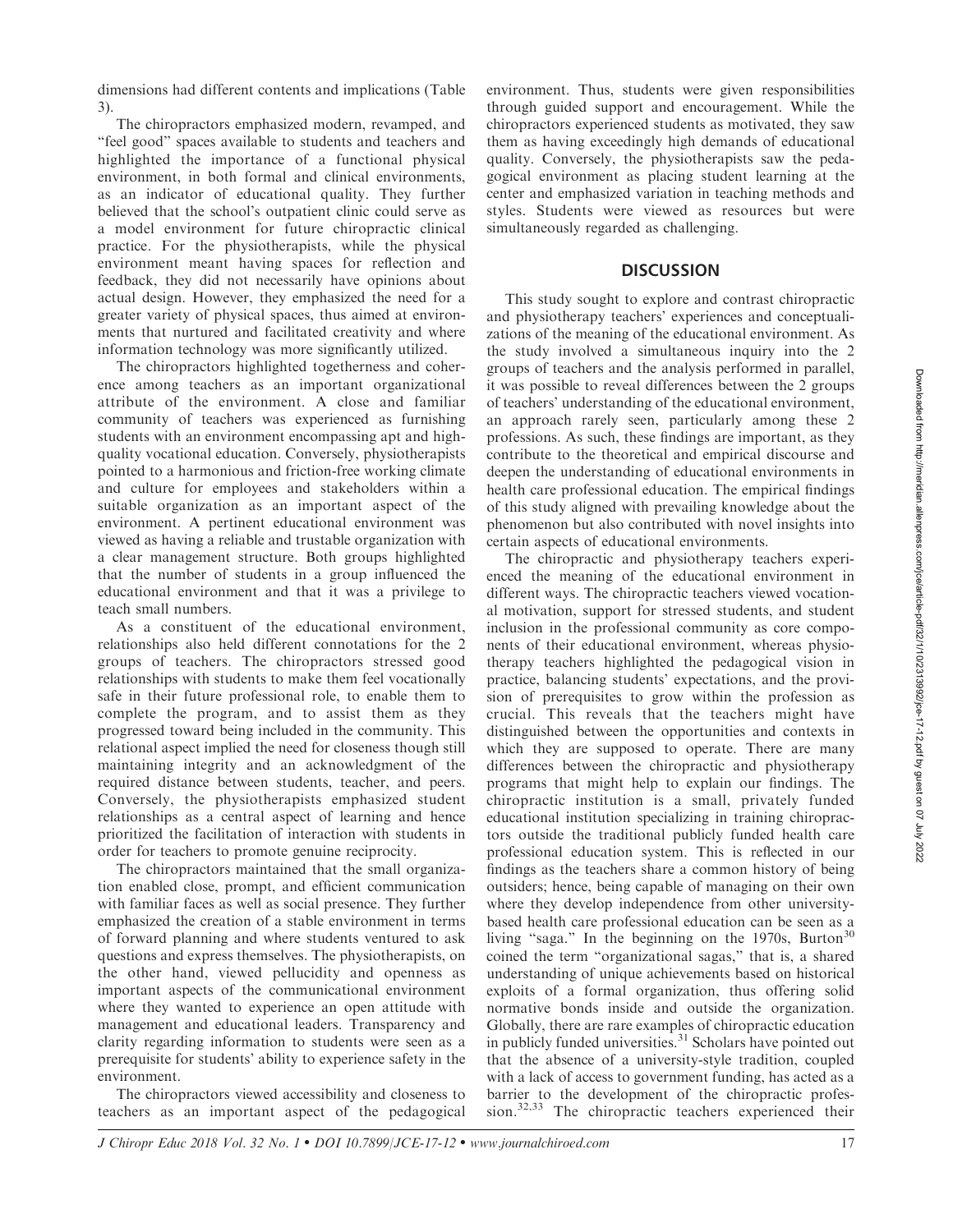dimensions had different contents and implications (Table 3).

The chiropractors emphasized modern, revamped, and ''feel good'' spaces available to students and teachers and highlighted the importance of a functional physical environment, in both formal and clinical environments, as an indicator of educational quality. They further believed that the school's outpatient clinic could serve as a model environment for future chiropractic clinical practice. For the physiotherapists, while the physical environment meant having spaces for reflection and feedback, they did not necessarily have opinions about actual design. However, they emphasized the need for a greater variety of physical spaces, thus aimed at environments that nurtured and facilitated creativity and where information technology was more significantly utilized.

The chiropractors highlighted togetherness and coherence among teachers as an important organizational attribute of the environment. A close and familiar community of teachers was experienced as furnishing students with an environment encompassing apt and highquality vocational education. Conversely, physiotherapists pointed to a harmonious and friction-free working climate and culture for employees and stakeholders within a suitable organization as an important aspect of the environment. A pertinent educational environment was viewed as having a reliable and trustable organization with a clear management structure. Both groups highlighted that the number of students in a group influenced the educational environment and that it was a privilege to teach small numbers.

As a constituent of the educational environment, relationships also held different connotations for the 2 groups of teachers. The chiropractors stressed good relationships with students to make them feel vocationally safe in their future professional role, to enable them to complete the program, and to assist them as they progressed toward being included in the community. This relational aspect implied the need for closeness though still maintaining integrity and an acknowledgment of the required distance between students, teacher, and peers. Conversely, the physiotherapists emphasized student relationships as a central aspect of learning and hence prioritized the facilitation of interaction with students in order for teachers to promote genuine reciprocity.

The chiropractors maintained that the small organization enabled close, prompt, and efficient communication with familiar faces as well as social presence. They further emphasized the creation of a stable environment in terms of forward planning and where students ventured to ask questions and express themselves. The physiotherapists, on the other hand, viewed pellucidity and openness as important aspects of the communicational environment where they wanted to experience an open attitude with management and educational leaders. Transparency and clarity regarding information to students were seen as a prerequisite for students' ability to experience safety in the environment.

The chiropractors viewed accessibility and closeness to teachers as an important aspect of the pedagogical environment. Thus, students were given responsibilities through guided support and encouragement. While the chiropractors experienced students as motivated, they saw them as having exceedingly high demands of educational quality. Conversely, the physiotherapists saw the pedagogical environment as placing student learning at the center and emphasized variation in teaching methods and styles. Students were viewed as resources but were simultaneously regarded as challenging.

#### **DISCUSSION**

This study sought to explore and contrast chiropractic and physiotherapy teachers' experiences and conceptualizations of the meaning of the educational environment. As the study involved a simultaneous inquiry into the 2 groups of teachers and the analysis performed in parallel, it was possible to reveal differences between the 2 groups of teachers' understanding of the educational environment, an approach rarely seen, particularly among these 2 professions. As such, these findings are important, as they contribute to the theoretical and empirical discourse and deepen the understanding of educational environments in health care professional education. The empirical findings of this study aligned with prevailing knowledge about the phenomenon but also contributed with novel insights into certain aspects of educational environments.

The chiropractic and physiotherapy teachers experienced the meaning of the educational environment in different ways. The chiropractic teachers viewed vocational motivation, support for stressed students, and student inclusion in the professional community as core components of their educational environment, whereas physiotherapy teachers highlighted the pedagogical vision in practice, balancing students' expectations, and the provision of prerequisites to grow within the profession as crucial. This reveals that the teachers might have distinguished between the opportunities and contexts in which they are supposed to operate. There are many differences between the chiropractic and physiotherapy programs that might help to explain our findings. The chiropractic institution is a small, privately funded educational institution specializing in training chiropractors outside the traditional publicly funded health care professional education system. This is reflected in our findings as the teachers share a common history of being outsiders; hence, being capable of managing on their own where they develop independence from other universitybased health care professional education can be seen as a living "saga." In the beginning on the 1970s, Burton<sup>30</sup> coined the term ''organizational sagas,'' that is, a shared understanding of unique achievements based on historical exploits of a formal organization, thus offering solid normative bonds inside and outside the organization. Globally, there are rare examples of chiropractic education in publicly funded universities.<sup>31</sup> Scholars have pointed out that the absence of a university-style tradition, coupled with a lack of access to government funding, has acted as a barrier to the development of the chiropractic profession.32,33 The chiropractic teachers experienced their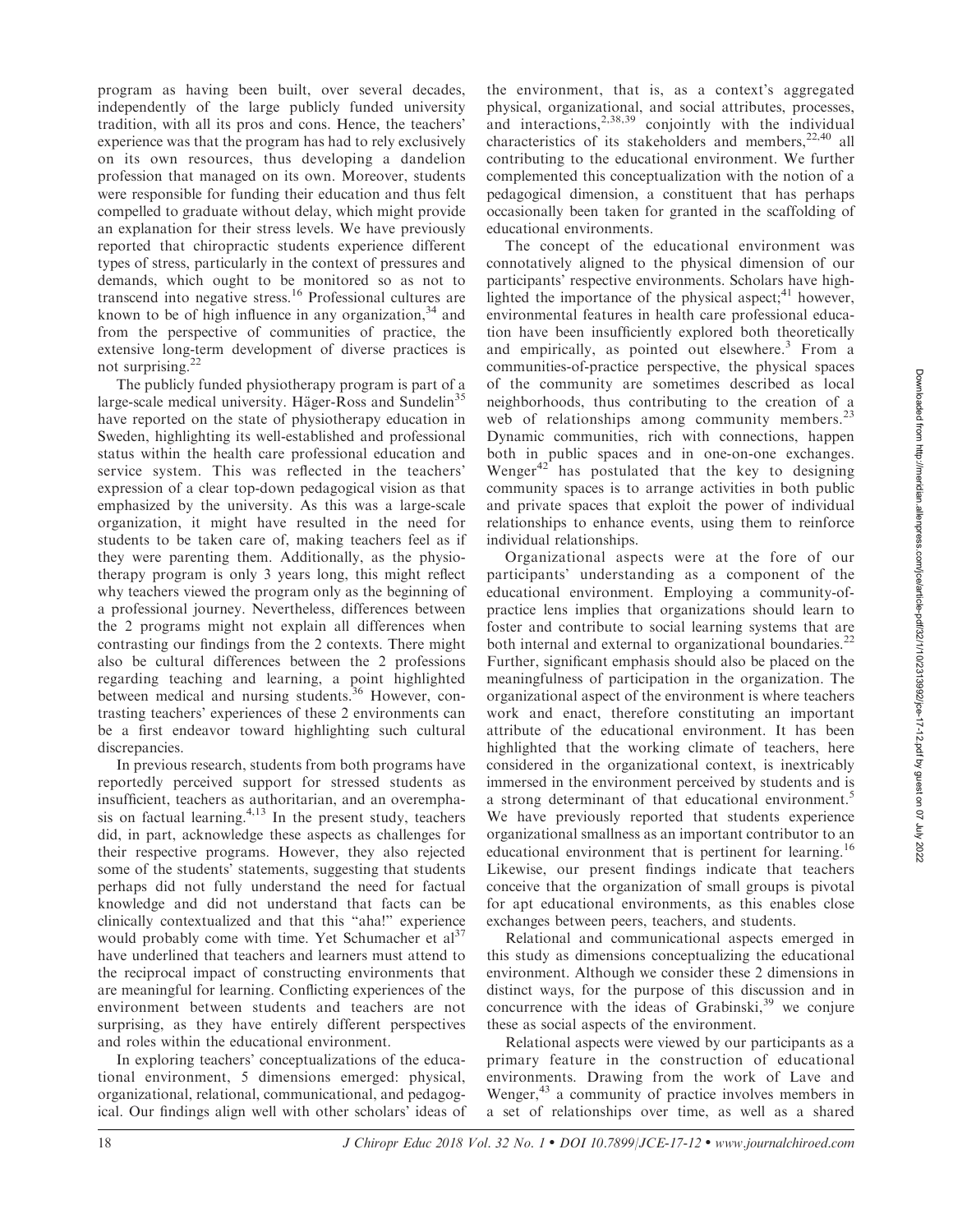program as having been built, over several decades, independently of the large publicly funded university tradition, with all its pros and cons. Hence, the teachers' experience was that the program has had to rely exclusively on its own resources, thus developing a dandelion profession that managed on its own. Moreover, students were responsible for funding their education and thus felt compelled to graduate without delay, which might provide an explanation for their stress levels. We have previously reported that chiropractic students experience different types of stress, particularly in the context of pressures and demands, which ought to be monitored so as not to transcend into negative stress.<sup>16</sup> Professional cultures are known to be of high influence in any organization,  $34$  and from the perspective of communities of practice, the extensive long-term development of diverse practices is not surprising.<sup>22</sup>

The publicly funded physiotherapy program is part of a large-scale medical university. Häger-Ross and Sundelin<sup>35</sup> have reported on the state of physiotherapy education in Sweden, highlighting its well-established and professional status within the health care professional education and service system. This was reflected in the teachers' expression of a clear top-down pedagogical vision as that emphasized by the university. As this was a large-scale organization, it might have resulted in the need for students to be taken care of, making teachers feel as if they were parenting them. Additionally, as the physiotherapy program is only 3 years long, this might reflect why teachers viewed the program only as the beginning of a professional journey. Nevertheless, differences between the 2 programs might not explain all differences when contrasting our findings from the 2 contexts. There might also be cultural differences between the 2 professions regarding teaching and learning, a point highlighted between medical and nursing students.<sup>36</sup> However, contrasting teachers' experiences of these 2 environments can be a first endeavor toward highlighting such cultural discrepancies.

In previous research, students from both programs have reportedly perceived support for stressed students as insufficient, teachers as authoritarian, and an overemphasis on factual learning. $4,13$  In the present study, teachers did, in part, acknowledge these aspects as challenges for their respective programs. However, they also rejected some of the students' statements, suggesting that students perhaps did not fully understand the need for factual knowledge and did not understand that facts can be clinically contextualized and that this ''aha!'' experience would probably come with time. Yet Schumacher et  $al^{37}$ have underlined that teachers and learners must attend to the reciprocal impact of constructing environments that are meaningful for learning. Conflicting experiences of the environment between students and teachers are not surprising, as they have entirely different perspectives and roles within the educational environment.

In exploring teachers' conceptualizations of the educational environment, 5 dimensions emerged: physical, organizational, relational, communicational, and pedagogical. Our findings align well with other scholars' ideas of

the environment, that is, as a context's aggregated physical, organizational, and social attributes, processes, and interactions,<sup>2,38,39</sup> conjointly with the individual characteristics of its stakeholders and members,  $22,40$  all contributing to the educational environment. We further complemented this conceptualization with the notion of a pedagogical dimension, a constituent that has perhaps occasionally been taken for granted in the scaffolding of educational environments.

The concept of the educational environment was connotatively aligned to the physical dimension of our participants' respective environments. Scholars have highlighted the importance of the physical aspect; $^{41}$  however, environmental features in health care professional education have been insufficiently explored both theoretically and empirically, as pointed out elsewhere. $3$  From a communities-of-practice perspective, the physical spaces of the community are sometimes described as local neighborhoods, thus contributing to the creation of a web of relationships among community members.<sup>23</sup> Dynamic communities, rich with connections, happen both in public spaces and in one-on-one exchanges. Wenger $42$ <sup>2</sup> has postulated that the key to designing community spaces is to arrange activities in both public and private spaces that exploit the power of individual relationships to enhance events, using them to reinforce individual relationships.

Organizational aspects were at the fore of our participants' understanding as a component of the educational environment. Employing a community-ofpractice lens implies that organizations should learn to foster and contribute to social learning systems that are both internal and external to organizational boundaries.<sup>22</sup> Further, significant emphasis should also be placed on the meaningfulness of participation in the organization. The organizational aspect of the environment is where teachers work and enact, therefore constituting an important attribute of the educational environment. It has been highlighted that the working climate of teachers, here considered in the organizational context, is inextricably immersed in the environment perceived by students and is a strong determinant of that educational environment.<sup>5</sup> We have previously reported that students experience organizational smallness as an important contributor to an educational environment that is pertinent for learning.<sup>16</sup> Likewise, our present findings indicate that teachers conceive that the organization of small groups is pivotal for apt educational environments, as this enables close exchanges between peers, teachers, and students.

Relational and communicational aspects emerged in this study as dimensions conceptualizing the educational environment. Although we consider these 2 dimensions in distinct ways, for the purpose of this discussion and in concurrence with the ideas of Grabinski, $39$  we conjure these as social aspects of the environment.

Relational aspects were viewed by our participants as a primary feature in the construction of educational environments. Drawing from the work of Lave and Wenger,<sup>43</sup> a community of practice involves members in a set of relationships over time, as well as a shared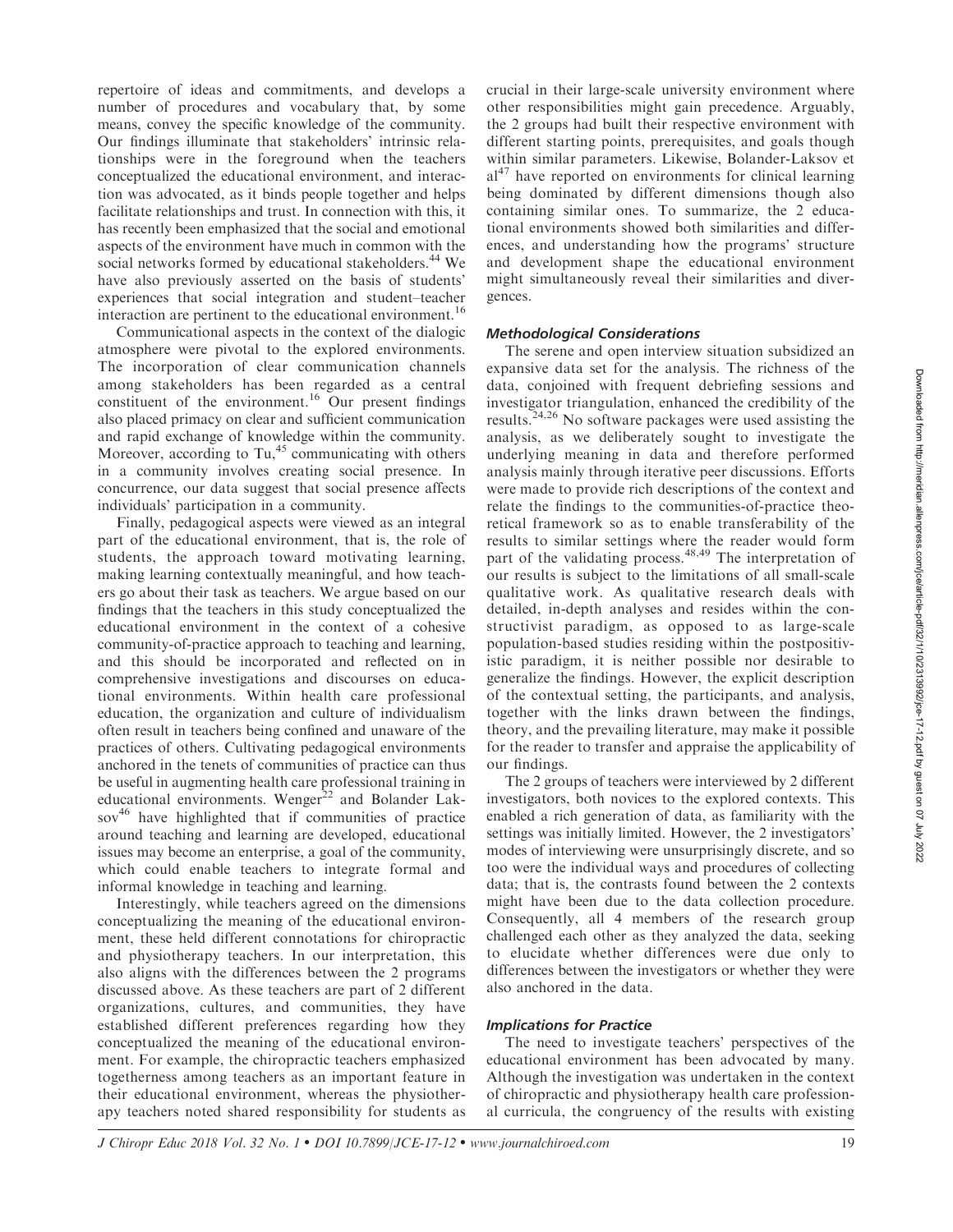repertoire of ideas and commitments, and develops a number of procedures and vocabulary that, by some means, convey the specific knowledge of the community. Our findings illuminate that stakeholders' intrinsic relationships were in the foreground when the teachers conceptualized the educational environment, and interaction was advocated, as it binds people together and helps facilitate relationships and trust. In connection with this, it has recently been emphasized that the social and emotional aspects of the environment have much in common with the social networks formed by educational stakeholders.<sup>44</sup> We have also previously asserted on the basis of students' experiences that social integration and student–teacher interaction are pertinent to the educational environment.<sup>16</sup>

Communicational aspects in the context of the dialogic atmosphere were pivotal to the explored environments. The incorporation of clear communication channels among stakeholders has been regarded as a central constituent of the environment.<sup>16</sup> Our present findings also placed primacy on clear and sufficient communication and rapid exchange of knowledge within the community. Moreover, according to Tu, $45$  communicating with others in a community involves creating social presence. In concurrence, our data suggest that social presence affects individuals' participation in a community.

Finally, pedagogical aspects were viewed as an integral part of the educational environment, that is, the role of students, the approach toward motivating learning, making learning contextually meaningful, and how teachers go about their task as teachers. We argue based on our findings that the teachers in this study conceptualized the educational environment in the context of a cohesive community-of-practice approach to teaching and learning, and this should be incorporated and reflected on in comprehensive investigations and discourses on educational environments. Within health care professional education, the organization and culture of individualism often result in teachers being confined and unaware of the practices of others. Cultivating pedagogical environments anchored in the tenets of communities of practice can thus be useful in augmenting health care professional training in educational environments. Wenger<sup>22</sup> and Bolander Lak $sov<sup>46</sup>$  have highlighted that if communities of practice around teaching and learning are developed, educational issues may become an enterprise, a goal of the community, which could enable teachers to integrate formal and informal knowledge in teaching and learning.

Interestingly, while teachers agreed on the dimensions conceptualizing the meaning of the educational environment, these held different connotations for chiropractic and physiotherapy teachers. In our interpretation, this also aligns with the differences between the 2 programs discussed above. As these teachers are part of 2 different organizations, cultures, and communities, they have established different preferences regarding how they conceptualized the meaning of the educational environment. For example, the chiropractic teachers emphasized togetherness among teachers as an important feature in their educational environment, whereas the physiotherapy teachers noted shared responsibility for students as crucial in their large-scale university environment where other responsibilities might gain precedence. Arguably, the 2 groups had built their respective environment with different starting points, prerequisites, and goals though within similar parameters. Likewise, Bolander-Laksov et  $a^{47}$  have reported on environments for clinical learning being dominated by different dimensions though also containing similar ones. To summarize, the 2 educational environments showed both similarities and differences, and understanding how the programs' structure and development shape the educational environment might simultaneously reveal their similarities and divergences.

## Methodological Considerations

The serene and open interview situation subsidized an expansive data set for the analysis. The richness of the data, conjoined with frequent debriefing sessions and investigator triangulation, enhanced the credibility of the results.24,26 No software packages were used assisting the analysis, as we deliberately sought to investigate the underlying meaning in data and therefore performed analysis mainly through iterative peer discussions. Efforts were made to provide rich descriptions of the context and relate the findings to the communities-of-practice theoretical framework so as to enable transferability of the results to similar settings where the reader would form part of the validating process.<sup>48,49</sup> The interpretation of our results is subject to the limitations of all small-scale qualitative work. As qualitative research deals with detailed, in-depth analyses and resides within the constructivist paradigm, as opposed to as large-scale population-based studies residing within the postpositivistic paradigm, it is neither possible nor desirable to generalize the findings. However, the explicit description of the contextual setting, the participants, and analysis, together with the links drawn between the findings, theory, and the prevailing literature, may make it possible for the reader to transfer and appraise the applicability of our findings.

The 2 groups of teachers were interviewed by 2 different investigators, both novices to the explored contexts. This enabled a rich generation of data, as familiarity with the settings was initially limited. However, the 2 investigators' modes of interviewing were unsurprisingly discrete, and so too were the individual ways and procedures of collecting data; that is, the contrasts found between the 2 contexts might have been due to the data collection procedure. Consequently, all 4 members of the research group challenged each other as they analyzed the data, seeking to elucidate whether differences were due only to differences between the investigators or whether they were also anchored in the data.

#### Implications for Practice

The need to investigate teachers' perspectives of the educational environment has been advocated by many. Although the investigation was undertaken in the context of chiropractic and physiotherapy health care professional curricula, the congruency of the results with existing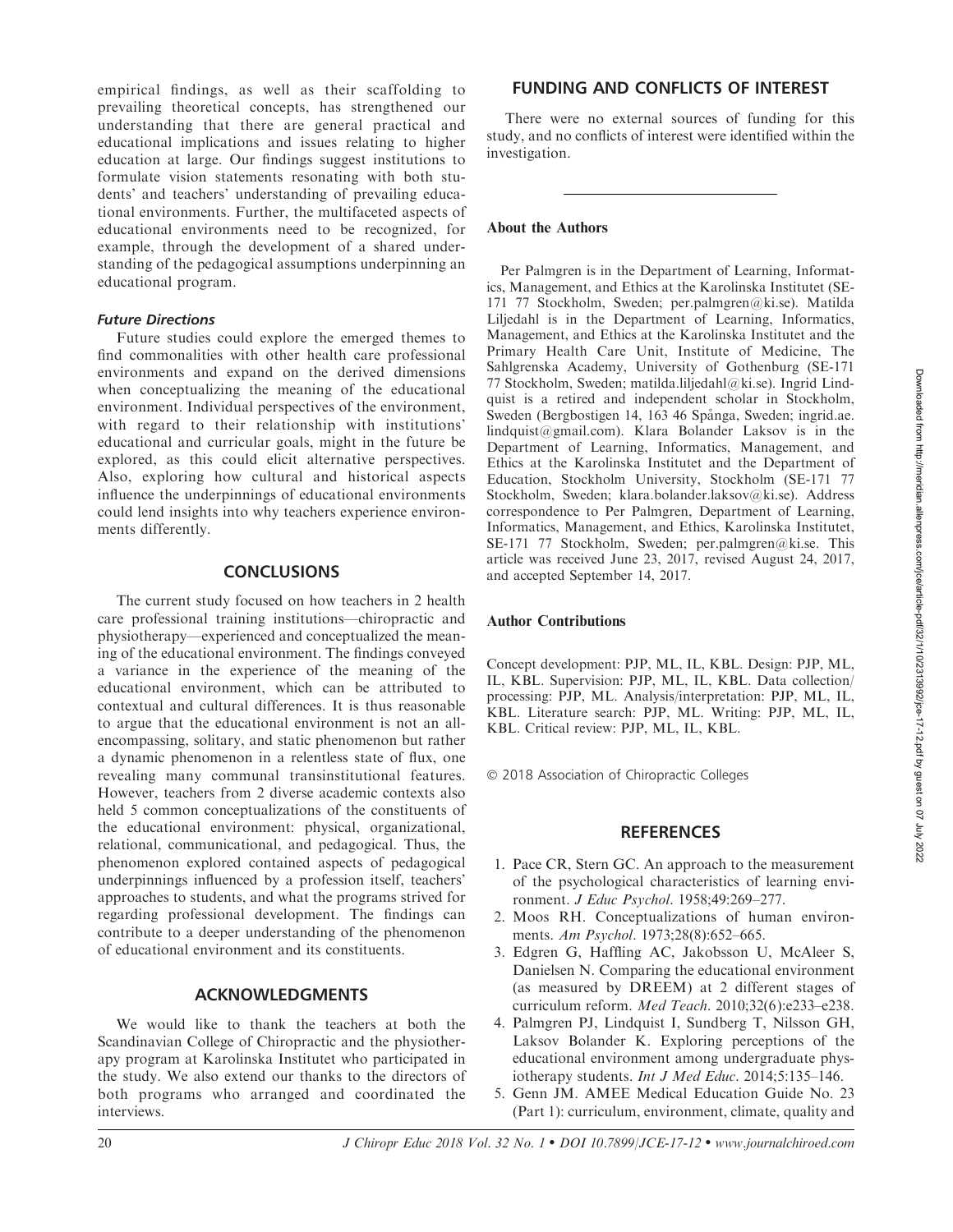empirical findings, as well as their scaffolding to prevailing theoretical concepts, has strengthened our understanding that there are general practical and educational implications and issues relating to higher education at large. Our findings suggest institutions to formulate vision statements resonating with both students' and teachers' understanding of prevailing educational environments. Further, the multifaceted aspects of educational environments need to be recognized, for example, through the development of a shared understanding of the pedagogical assumptions underpinning an educational program.

## Future Directions

Future studies could explore the emerged themes to find commonalities with other health care professional environments and expand on the derived dimensions when conceptualizing the meaning of the educational environment. Individual perspectives of the environment, with regard to their relationship with institutions' educational and curricular goals, might in the future be explored, as this could elicit alternative perspectives. Also, exploring how cultural and historical aspects influence the underpinnings of educational environments could lend insights into why teachers experience environments differently.

## **CONCLUSIONS**

The current study focused on how teachers in 2 health care professional training institutions—chiropractic and physiotherapy—experienced and conceptualized the meaning of the educational environment. The findings conveyed a variance in the experience of the meaning of the educational environment, which can be attributed to contextual and cultural differences. It is thus reasonable to argue that the educational environment is not an allencompassing, solitary, and static phenomenon but rather a dynamic phenomenon in a relentless state of flux, one revealing many communal transinstitutional features. However, teachers from 2 diverse academic contexts also held 5 common conceptualizations of the constituents of the educational environment: physical, organizational, relational, communicational, and pedagogical. Thus, the phenomenon explored contained aspects of pedagogical underpinnings influenced by a profession itself, teachers' approaches to students, and what the programs strived for regarding professional development. The findings can contribute to a deeper understanding of the phenomenon of educational environment and its constituents.

## ACKNOWLEDGMENTS

We would like to thank the teachers at both the Scandinavian College of Chiropractic and the physiotherapy program at Karolinska Institutet who participated in the study. We also extend our thanks to the directors of both programs who arranged and coordinated the interviews.

## FUNDING AND CONFLICTS OF INTEREST

There were no external sources of funding for this study, and no conflicts of interest were identified within the investigation.

#### About the Authors

Per Palmgren is in the Department of Learning, Informatics, Management, and Ethics at the Karolinska Institutet (SE-171 77 Stockholm, Sweden; per.palmgren@ki.se). Matilda Liljedahl is in the Department of Learning, Informatics, Management, and Ethics at the Karolinska Institutet and the Primary Health Care Unit, Institute of Medicine, The Sahlgrenska Academy, University of Gothenburg (SE-171 77 Stockholm, Sweden; matilda.liljedahl@ki.se). Ingrid Lindquist is a retired and independent scholar in Stockholm, Sweden (Bergbostigen 14, 163 46 Spånga, Sweden; ingrid.ae. lindquist@gmail.com). Klara Bolander Laksov is in the Department of Learning, Informatics, Management, and Ethics at the Karolinska Institutet and the Department of Education, Stockholm University, Stockholm (SE-171 77 Stockholm, Sweden; klara.bolander.laksov@ki.se). Address correspondence to Per Palmgren, Department of Learning, Informatics, Management, and Ethics, Karolinska Institutet, SE-171 77 Stockholm, Sweden; per.palmgren@ki.se. This article was received June 23, 2017, revised August 24, 2017, and accepted September 14, 2017.

#### Author Contributions

Concept development: PJP, ML, IL, KBL. Design: PJP, ML, IL, KBL. Supervision: PJP, ML, IL, KBL. Data collection/ processing: PJP, ML. Analysis/interpretation: PJP, ML, IL, KBL. Literature search: PJP, ML. Writing: PJP, ML, IL, KBL. Critical review: PJP, ML, IL, KBL.

- 2018 Association of Chiropractic Colleges

#### **REFERENCES**

- 1. Pace CR, Stern GC. An approach to the measurement of the psychological characteristics of learning environment. J Educ Psychol. 1958;49:269–277.
- 2. Moos RH. Conceptualizations of human environments. Am Psychol. 1973;28(8):652–665.
- 3. Edgren G, Haffling AC, Jakobsson U, McAleer S, Danielsen N. Comparing the educational environment (as measured by DREEM) at 2 different stages of curriculum reform. Med Teach. 2010;32(6):e233–e238.
- 4. Palmgren PJ, Lindquist I, Sundberg T, Nilsson GH, Laksov Bolander K. Exploring perceptions of the educational environment among undergraduate physiotherapy students. Int J Med Educ. 2014;5:135–146.
- 5. Genn JM. AMEE Medical Education Guide No. 23 (Part 1): curriculum, environment, climate, quality and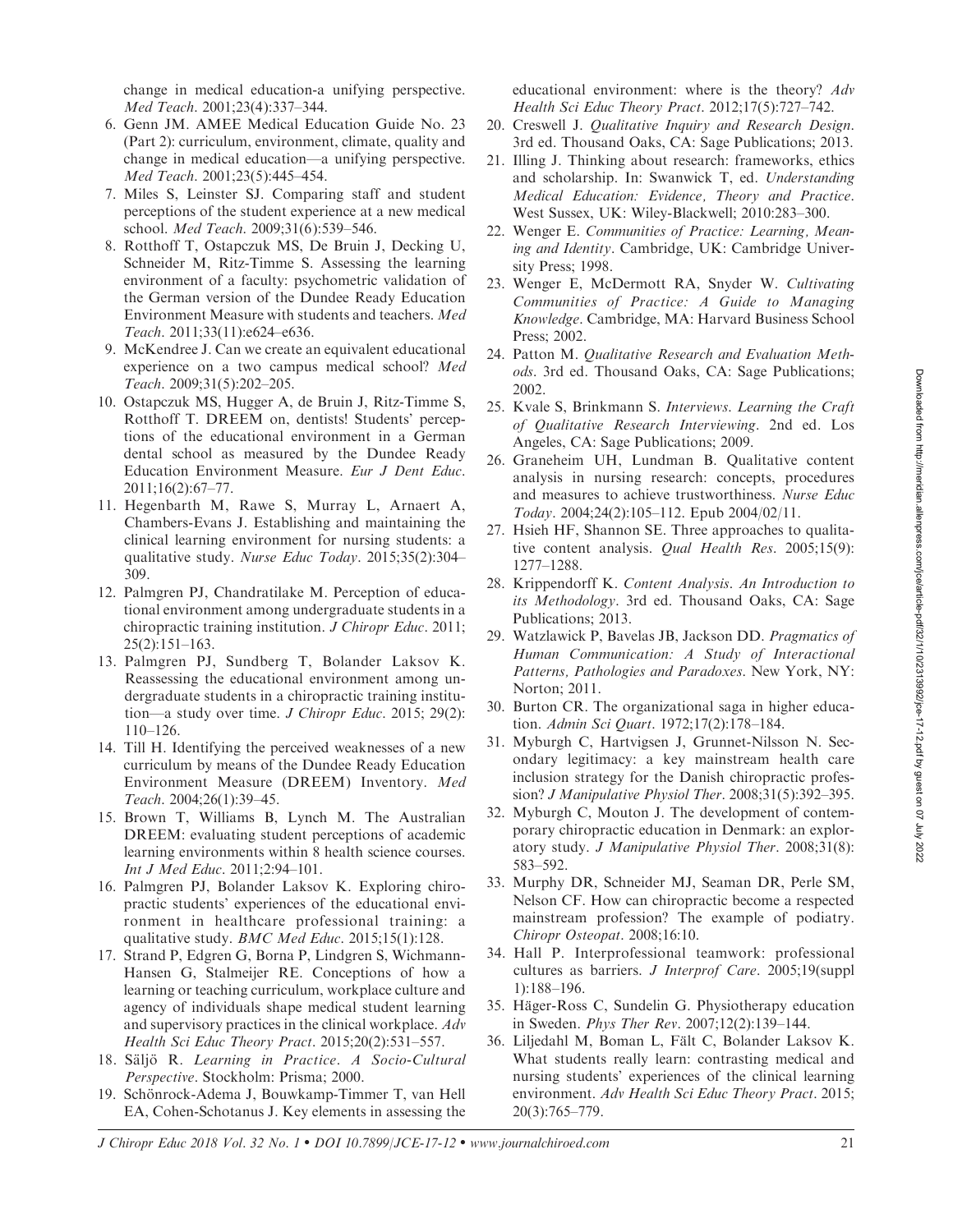change in medical education-a unifying perspective. Med Teach. 2001;23(4):337–344.

- 6. Genn JM. AMEE Medical Education Guide No. 23 (Part 2): curriculum, environment, climate, quality and change in medical education—a unifying perspective. Med Teach. 2001;23(5):445–454.
- 7. Miles S, Leinster SJ. Comparing staff and student perceptions of the student experience at a new medical school. Med Teach. 2009;31(6):539–546.
- 8. Rotthoff T, Ostapczuk MS, De Bruin J, Decking U, Schneider M, Ritz-Timme S. Assessing the learning environment of a faculty: psychometric validation of the German version of the Dundee Ready Education Environment Measure with students and teachers. Med Teach. 2011;33(11):e624–e636.
- 9. McKendree J. Can we create an equivalent educational experience on a two campus medical school? Med Teach. 2009;31(5):202–205.
- 10. Ostapczuk MS, Hugger A, de Bruin J, Ritz-Timme S, Rotthoff T. DREEM on, dentists! Students' perceptions of the educational environment in a German dental school as measured by the Dundee Ready Education Environment Measure. Eur J Dent Educ. 2011;16(2):67–77.
- 11. Hegenbarth M, Rawe S, Murray L, Arnaert A, Chambers-Evans J. Establishing and maintaining the clinical learning environment for nursing students: a qualitative study. Nurse Educ Today. 2015;35(2):304– 309.
- 12. Palmgren PJ, Chandratilake M. Perception of educational environment among undergraduate students in a chiropractic training institution. J Chiropr Educ. 2011; 25(2):151–163.
- 13. Palmgren PJ, Sundberg T, Bolander Laksov K. Reassessing the educational environment among undergraduate students in a chiropractic training institution—a study over time. J Chiropr Educ. 2015; 29(2): 110–126.
- 14. Till H. Identifying the perceived weaknesses of a new curriculum by means of the Dundee Ready Education Environment Measure (DREEM) Inventory. Med Teach. 2004;26(1):39–45.
- 15. Brown T, Williams B, Lynch M. The Australian DREEM: evaluating student perceptions of academic learning environments within 8 health science courses. Int J Med Educ. 2011;2:94–101.
- 16. Palmgren PJ, Bolander Laksov K. Exploring chiropractic students' experiences of the educational environment in healthcare professional training: a qualitative study. BMC Med Educ. 2015;15(1):128.
- 17. Strand P, Edgren G, Borna P, Lindgren S, Wichmann-Hansen G, Stalmeijer RE. Conceptions of how a learning or teaching curriculum, workplace culture and agency of individuals shape medical student learning and supervisory practices in the clinical workplace. Adv Health Sci Educ Theory Pract. 2015;20(2):531–557.
- 18. Säljö R. Learning in Practice. A Socio-Cultural Perspective. Stockholm: Prisma; 2000.
- 19. Schönrock-Adema J, Bouwkamp-Timmer T, van Hell EA, Cohen-Schotanus J. Key elements in assessing the

educational environment: where is the theory? Adv Health Sci Educ Theory Pract. 2012;17(5):727–742.

- 20. Creswell J. Qualitative Inquiry and Research Design. 3rd ed. Thousand Oaks, CA: Sage Publications; 2013.
- 21. Illing J. Thinking about research: frameworks, ethics and scholarship. In: Swanwick T, ed. Understanding Medical Education: Evidence, Theory and Practice. West Sussex, UK: Wiley-Blackwell; 2010:283–300.
- 22. Wenger E. Communities of Practice: Learning, Meaning and Identity. Cambridge, UK: Cambridge University Press; 1998.
- 23. Wenger E, McDermott RA, Snyder W. Cultivating Communities of Practice: A Guide to Managing Knowledge. Cambridge, MA: Harvard Business School Press; 2002.
- 24. Patton M. Qualitative Research and Evaluation Methods. 3rd ed. Thousand Oaks, CA: Sage Publications; 2002.
- 25. Kvale S, Brinkmann S. Interviews. Learning the Craft of Qualitative Research Interviewing. 2nd ed. Los Angeles, CA: Sage Publications; 2009.
- 26. Graneheim UH, Lundman B. Qualitative content analysis in nursing research: concepts, procedures and measures to achieve trustworthiness. Nurse Educ Today. 2004;24(2):105–112. Epub 2004/02/11.
- 27. Hsieh HF, Shannon SE. Three approaches to qualitative content analysis. Qual Health Res. 2005;15(9): 1277–1288.
- 28. Krippendorff K. Content Analysis. An Introduction to its Methodology. 3rd ed. Thousand Oaks, CA: Sage Publications; 2013.
- 29. Watzlawick P, Bavelas JB, Jackson DD. Pragmatics of Human Communication: A Study of Interactional Patterns, Pathologies and Paradoxes. New York, NY: Norton; 2011.
- 30. Burton CR. The organizational saga in higher education. Admin Sci Quart. 1972;17(2):178–184.
- 31. Myburgh C, Hartvigsen J, Grunnet-Nilsson N. Secondary legitimacy: a key mainstream health care inclusion strategy for the Danish chiropractic profession? J Manipulative Physiol Ther. 2008;31(5):392-395.
- 32. Myburgh C, Mouton J. The development of contemporary chiropractic education in Denmark: an exploratory study. J Manipulative Physiol Ther. 2008;31(8): 583–592.
- 33. Murphy DR, Schneider MJ, Seaman DR, Perle SM, Nelson CF. How can chiropractic become a respected mainstream profession? The example of podiatry. Chiropr Osteopat. 2008;16:10.
- 34. Hall P. Interprofessional teamwork: professional cultures as barriers. J Interprof Care. 2005;19(suppl 1):188–196.
- 35. Häger-Ross C, Sundelin G. Physiotherapy education in Sweden. Phys Ther Rev. 2007;12(2):139–144.
- 36. Liljedahl M, Boman L, Fält C, Bolander Laksov K. What students really learn: contrasting medical and nursing students' experiences of the clinical learning environment. Adv Health Sci Educ Theory Pract. 2015; 20(3):765–779.